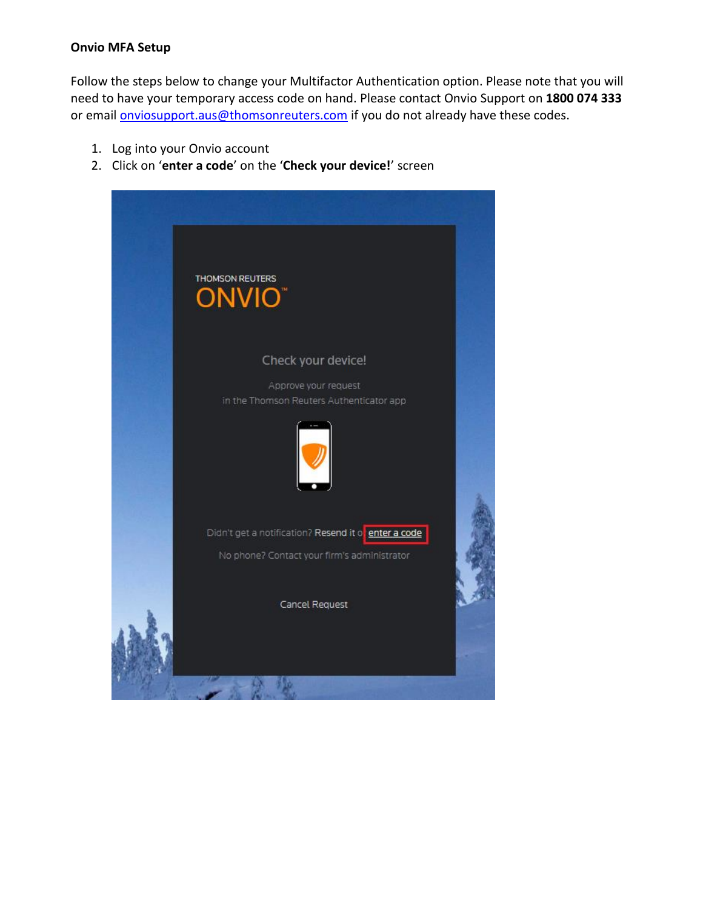## **Onvio MFA Setup**

Follow the steps below to change your Multifactor Authentication option. Please note that you will need to have your temporary access code on hand. Please contact Onvio Support on **1800 074 333** or email **onviosupport.aus@thomsonreuters.com** if you do not already have these codes.

- 1. Log into your Onvio account
- 2. Click on '**enter a code**' on the '**Check your device!**' screen

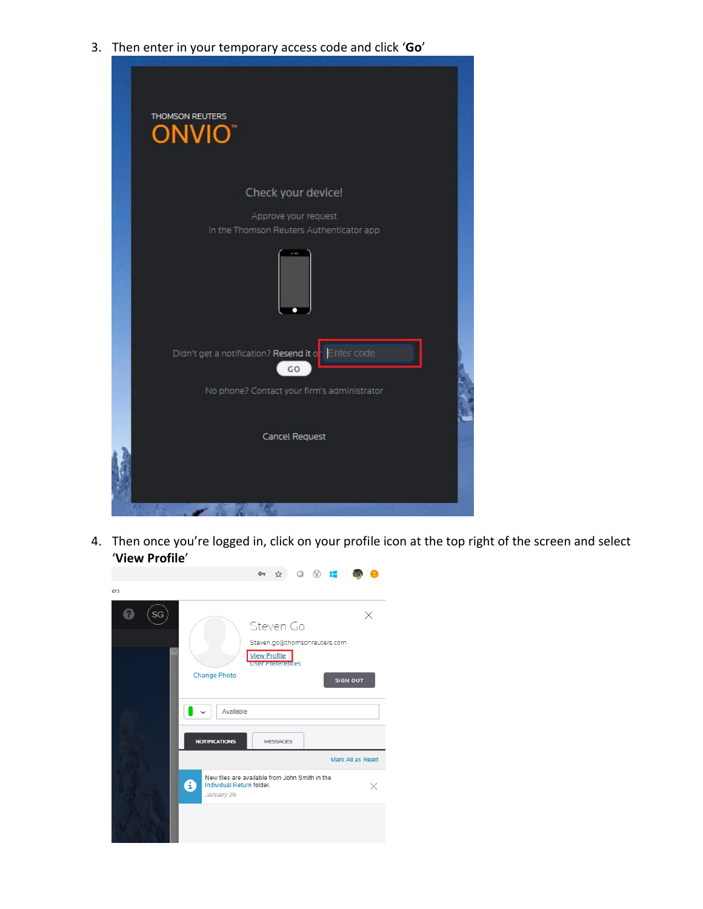3. Then enter in your temporary access code and click '**Go**'



4. Then once you're logged in, click on your profile icon at the top right of the screen and select '**View Profile**'

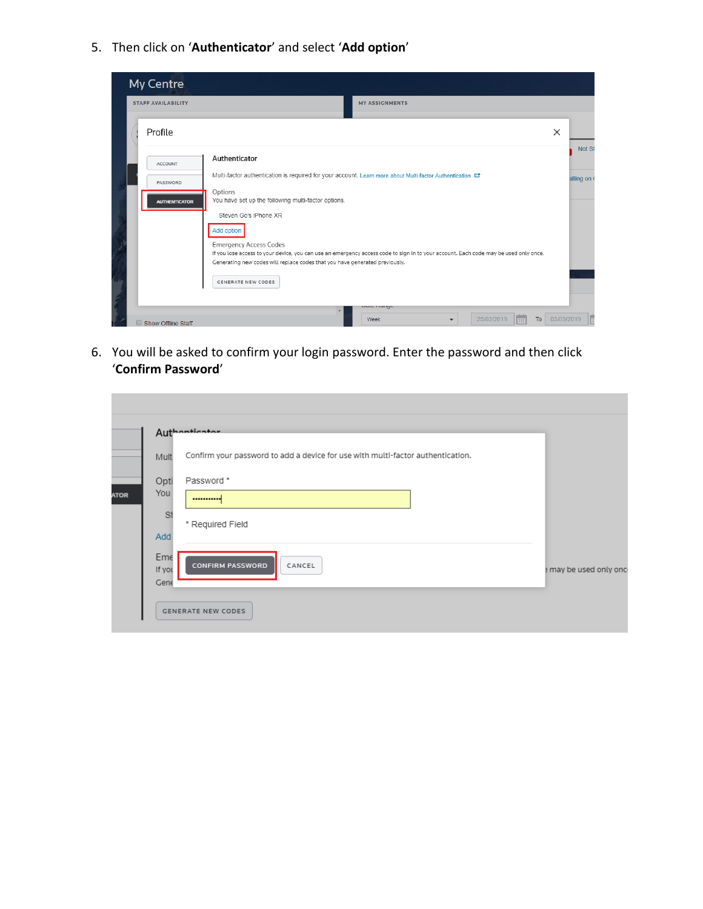5. Then click on '**Authenticator**' and select '**Add option**'

| My Centre                 |                                                                                                                                                                                                                                                      |            |           |
|---------------------------|------------------------------------------------------------------------------------------------------------------------------------------------------------------------------------------------------------------------------------------------------|------------|-----------|
| <b>STAFF AVAILABILITY</b> | <b>MY ASSIGNMENTS</b>                                                                                                                                                                                                                                |            |           |
| Profile                   |                                                                                                                                                                                                                                                      | $\times$   |           |
| <b>ACCOUNT</b>            | Authenticator                                                                                                                                                                                                                                        |            | Not St    |
| PASSWORD                  | Multi-factor authentication is required for your account. Learn more about Multi-factor Authentication [2]<br>Options                                                                                                                                |            | aiting on |
| <b>AUTHENTICATOR</b>      | You have set up the following multi-factor options.<br>Steven Go's iPhone XR                                                                                                                                                                         |            |           |
|                           | Add option                                                                                                                                                                                                                                           |            |           |
|                           | <b>Emergency Access Codes</b><br>If you lose access to your device, you can use an emergency access code to sign in to your account. Each code may be used only once.<br>Generating new codes will replace codes that you have generated previously. |            |           |
|                           | <b>GENERATE NEW CODES</b>                                                                                                                                                                                                                            |            |           |
|                           | Duw i wiigo                                                                                                                                                                                                                                          |            |           |
| Show Offline Staff        | 25/02/2019<br>T <sub>o</sub><br>Week<br><b>ESS</b><br>▼                                                                                                                                                                                              | 03/03/2019 |           |

6. You will be asked to confirm your login password. Enter the password and then click '**Confirm Password**'

|             |                | Authanticator                                                                   |                        |
|-------------|----------------|---------------------------------------------------------------------------------|------------------------|
|             | Mult           | Confirm your password to add a device for use with multi-factor authentication. |                        |
|             | Opti           | Password *                                                                      |                        |
| <b>ATOR</b> | You            |                                                                                 |                        |
|             | St             | * Required Field                                                                |                        |
|             | Add            |                                                                                 |                        |
|             | Eme            | CANCEL<br><b>CONFIRM PASSWORD</b>                                               |                        |
|             | If you<br>Gene |                                                                                 | e may be used only onc |
|             |                | <b>GENERATE NEW CODES</b>                                                       |                        |